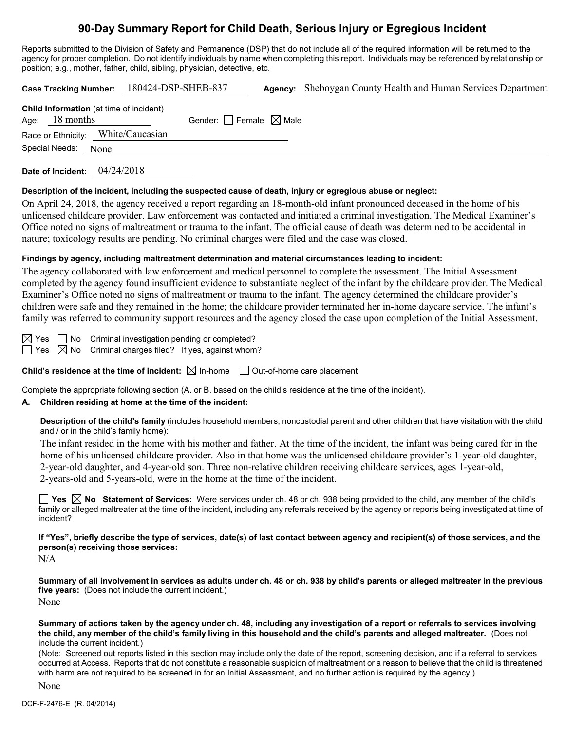# **90-Day Summary Report for Child Death, Serious Injury or Egregious Incident**

Reports submitted to the Division of Safety and Permanence (DSP) that do not include all of the required information will be returned to the agency for proper completion. Do not identify individuals by name when completing this report. Individuals may be referenced by relationship or position; e.g., mother, father, child, sibling, physician, detective, etc.

|                                    |                                                                    | Case Tracking Number: 180424-DSP-SHEB-837 |  | Agency: Sheboygan County Health and Human Services Department |  |  |  |  |
|------------------------------------|--------------------------------------------------------------------|-------------------------------------------|--|---------------------------------------------------------------|--|--|--|--|
|                                    | <b>Child Information</b> (at time of incident)<br>Age: $18$ months | Gender: Female $\boxtimes$ Male           |  |                                                               |  |  |  |  |
| Race or Ethnicity: White/Caucasian |                                                                    |                                           |  |                                                               |  |  |  |  |
|                                    | Special Needs: None                                                |                                           |  |                                                               |  |  |  |  |

**Date of Incident:** 04/24/2018

#### **Description of the incident, including the suspected cause of death, injury or egregious abuse or neglect:**

On April 24, 2018, the agency received a report regarding an 18-month-old infant pronounced deceased in the home of his unlicensed childcare provider. Law enforcement was contacted and initiated a criminal investigation. The Medical Examiner's Office noted no signs of maltreatment or trauma to the infant. The official cause of death was determined to be accidental in nature; toxicology results are pending. No criminal charges were filed and the case was closed.

## **Findings by agency, including maltreatment determination and material circumstances leading to incident:**

The agency collaborated with law enforcement and medical personnel to complete the assessment. The Initial Assessment completed by the agency found insufficient evidence to substantiate neglect of the infant by the childcare provider. The Medical Examiner's Office noted no signs of maltreatment or trauma to the infant. The agency determined the childcare provider's children were safe and they remained in the home; the childcare provider terminated her in-home daycare service. The infant's family was referred to community support resources and the agency closed the case upon completion of the Initial Assessment.

 $\boxtimes$  Yes  $\Box$  No Criminal investigation pending or completed?

 $\Box$  Yes  $\boxtimes$  No Criminal charges filed? If yes, against whom?

**Child's residence at the time of incident:**  $\boxtimes$  In-home  $\Box$  Out-of-home care placement

Complete the appropriate following section (A. or B. based on the child's residence at the time of the incident).

# **A. Children residing at home at the time of the incident:**

**Description of the child's family** (includes household members, noncustodial parent and other children that have visitation with the child and / or in the child's family home):

The infant resided in the home with his mother and father. At the time of the incident, the infant was being cared for in the home of his unlicensed childcare provider. Also in that home was the unlicensed childcare provider's 1-year-old daughter, 2-year-old daughter, and 4-year-old son. Three non-relative children receiving childcare services, ages 1-year-old, 2-years-old and 5-years-old, were in the home at the time of the incident.

**Yes No Statement of Services:** Were services under ch. 48 or ch. 938 being provided to the child, any member of the child's family or alleged maltreater at the time of the incident, including any referrals received by the agency or reports being investigated at time of incident?

**If "Yes", briefly describe the type of services, date(s) of last contact between agency and recipient(s) of those services, and the person(s) receiving those services:**

N/A

**Summary of all involvement in services as adults under ch. 48 or ch. 938 by child's parents or alleged maltreater in the previous five years:** (Does not include the current incident.) None

**Summary of actions taken by the agency under ch. 48, including any investigation of a report or referrals to services involving the child, any member of the child's family living in this household and the child's parents and alleged maltreater.** (Does not include the current incident.)

(Note: Screened out reports listed in this section may include only the date of the report, screening decision, and if a referral to services occurred at Access. Reports that do not constitute a reasonable suspicion of maltreatment or a reason to believe that the child is threatened with harm are not required to be screened in for an Initial Assessment, and no further action is required by the agency.)

None